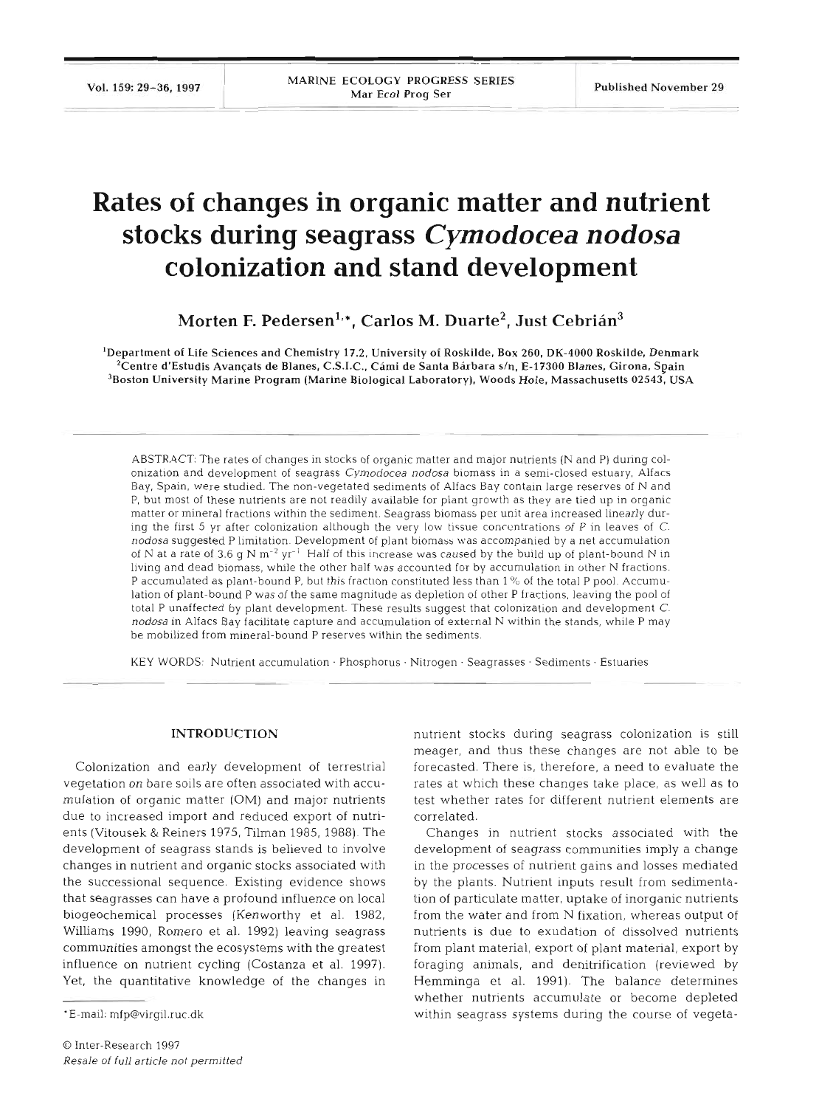# **Rates of changes in organic matter and nutrient stocks during seagrass** *Cymodocea nodosa*  **colonization and stand development**

Morten F. Pedersen<sup>1,</sup>\*, Carlos M. Duarte<sup>2</sup>, Just Cebrián<sup>3</sup>

'Department of Life Sciences and Chemistry 17.2, University of Roskilde. Box 260, DK-4000 Roskilde, Denmark  $^2$ Centre d'Estudis Avançats de Blanes, C.S.I.C., Cámi de Santa Bárbara s/n, E-17300 Blanes, Girona, Spain  $3$ Boston University Marine Program (Marine Biological Laboratory), Woods Hole, Massachusetts 02543, USA

ABSTRACT: The rates of changes in stocks of organic matter and major nutrients (N and P) during colonization and development of seagrass Cymodocea nodosa biomass in a semi-closed estuary. Alfacs Bay, Spain, were studied. The non-vegetated sediments of Alfacs Bay contain large reserves of N and P, but most of these nutrients are not readily available for plant growth as they are tied up in organic matter or mineral fractions within the sediment. Seagrass biomass per unit area increased linearly during the first 5 yr after colonization although the very low tissue concentrations of P in leaves of C. nodosa suggested P limitation. Development of plant biomass was accompanied by a net accumulation of N at a rate of 3.6 g N  $m^{-2}$  yr<sup>-1</sup> Half of this increase was caused by the build up of plant-bound N in living and dead biomass, while the other half was accounted for by accumulation in other N fractions. P accumulated as plant-bound P, but this fraction constituted less than 1% of the total P pool. Accumulation of plant-bound P was of the same magnitude as depletion of other P fractions, leaving the pool of total P unaffected by plant development. These results suggest that colonization and development C. nodosa in Alfacs Bay facilitate capture and accumulation of external N within the stands, while P may be mobilized from mineral-bound P reserves within the sedime

KEY WORDS: Nutrient accumulation . Phosphorus . Nitrogen . Seagrasses - Sediments . Estuaries

#### **INTRODUCTION**

Colonization and early development of terrestrial vegetation on bare soils are often associated with accumulation of organic matter (OM) and major nutrients due to increased import and reduced export of nutrients (Vitousek & Reiners 1975, Tilman 1985, 1988). The development of seagrass stands is believed to involve changes in nutrient and organic stocks associated with the successional sequence. Existing evidence shows that seagrasses can have a profound influence on local biogeochemical processes (Kenworthy et al. 1982, Williams 1990, Romero et al. 1992) leaving seagrass communities amongst the ecosystems with the greatest influence on nutrient cycling (Costanza et al. 1997). Yet, the quantitative knowledge of the changes in

nutrient stocks during seagrass colonization is still meager, and thus these changes are not able to be forecasted. There is, therefore, a need to evaluate the rates at which these changes take place, as well as to test whether rates for different nutrient elements are correlated.

Changes in nutrient stocks associated with the development of seagrass communities imply a change in the processes of nutrient gains and losses mediated by the plants. Nutrient inputs result from sedimentation of particulate matter, uptake of inorganic nutrients from the water and from N fixation, whereas output of nutrients is due to exudation of dissolved nutrients from plant material, export of plant material, export by foraging animals, and denitrification (reviewed by Hemminga et al. 1991). The balance determines whether nutrients accumulate or become depleted within seagrass systems during the course of vegeta-

<sup>\*</sup>E-mail: mfp@virgil.ruc.dk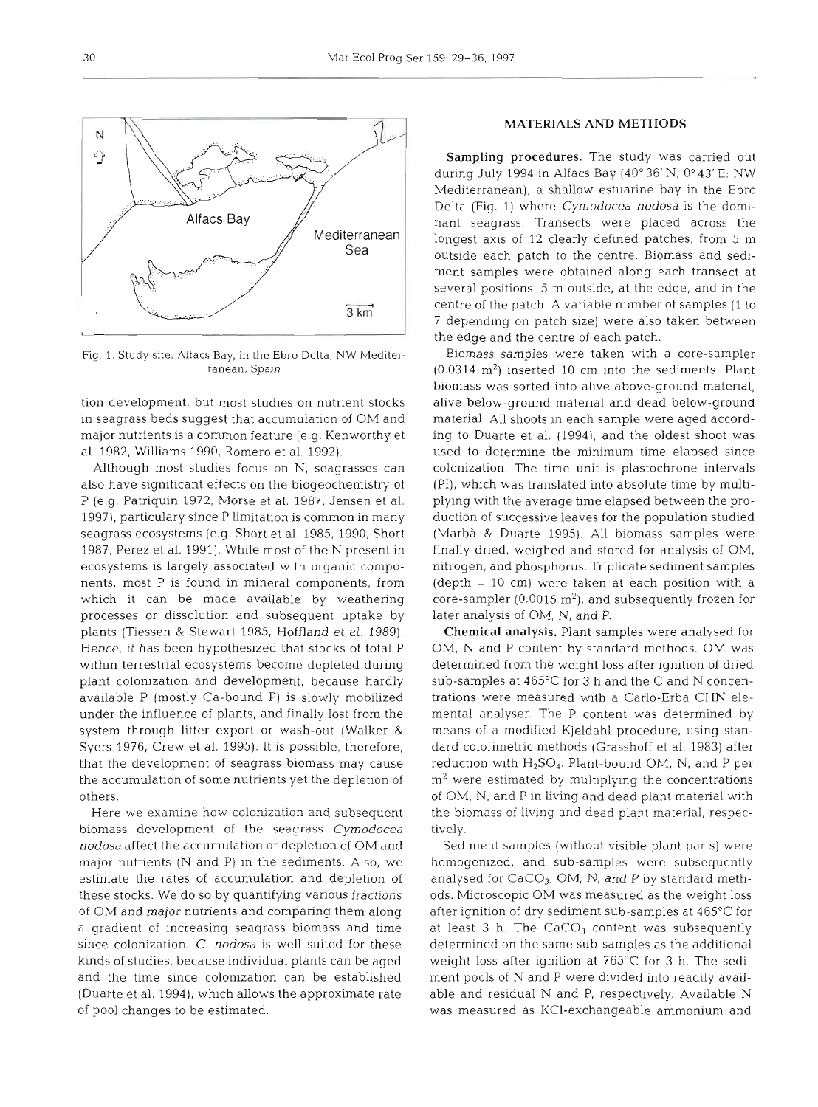

in seagrass beds suggest that accumulation of OM and material. All shoots in each sample were aged accordmajor nutrients is a common feature (e.g. Kenworthy et ing to Duarte et al. (1994), and the oldest shoot was al. 1982, Williams 1990, Romero et al. 1992). used to determine the minimum time elapsed since

also have significant effects on the biogeochemistry of (PI), which was translated into absolute time by multi-P (e.g. Patriquin 1972, Morse et al. 1987, Jensen et al. plying with the average time elapsed between the pro-1997), particulary since P limitation is common in many duction of successive leaves for the population studied seagrass ecosystems (e.g. Short et al. 1985, 1990, Short (Marba & Duarte 1995). All biomass samples were 1987, Perez et al. 1991). While most of the N present in finally dried, weighed and stored for analysis of OM, ecosystems is largely associated with organic compo- nitrogen, and phosphorus. Triplicate sediment samples nents, most P is found in mineral components, from (depth = 10 cm) were taken at each position with a which it can be made available by weathering core-sampler  $(0.0015 \text{ m}^2)$ , and subsequently frozen for processes or dissolution and subsequent uptake by later analysis of OM, N, and P. plants (Tiessen & Stewart 1985, Hoffland et al. 1989). Chemical analysis. Plant samples were analysed for Hence, it has been hypothesized that stocks of total P OM, N and P content by standard methods. OM was within terrestrial ecosystems become depleted during determined from the weight loss after ignition of dried plant colonization and development, because hardly sub-samples at 465°C for 3 h and the C and N concenavailable P (mostly Ca-bound P) is slowly mobilized trations were measured with a Carlo-Erba CHN eleunder the influence of plants, and finally lost from the mental analyser. The P content was determined by system through litter export or wash-out (Walker & means of a modified Kjeldahl procedure, using stan-Syers 1976, Crew et al. 1995). It is possible, therefore, dard calorimetric methods (Grasshoff et al. 1983) after that the development of seagrass biomass may cause reduction with  $H_2SO_4$ . Plant-bound OM, N, and P per the accumulation of some nutrients yet the depletion of  $m^2$  were estimated by multiplying the concentrations

biomass development of the seagrass Cymodocea tively. nodosa affect the accumulation or depletion of OM and Sediment samples (without visible plant parts) were major nutrients (N and P) in the sediments. Also, we homogenized, and sub-samples were subsequently estimate the rates of accumulation and depletion of analysed for  $CaCO<sub>3</sub>$ , OM, N, and P by standard meththese stocks. We do so by quantifying various fractions ods. Microscopic OM was measured as the weight loss of OM and major nutrients and comparing them along after ignition of dry sediment sub-samples at 465°C for a gradient of increasing seagrass biomass and time at least 3 h. The CaCO<sub>3</sub> content was subsequently since colonization. C. nodosa is well suited for these determined on the same sub-samples as the additional kinds of studies, because individual plants can be aged weight loss after ignition at 765°C for 3 h. The sediand the time since colonization can be established ment pools of N and P were divided into readily avail- (Duarte et al. 1994), which allows the approximate rate able and residual N and P, respectively. Available N

## MATERIALS AND METHODS

Sampling procedures. The study was carried out during July 1994 in Alfacs Bay (40" 36' N, 0" **43'** E; NW Mediterranean), a shallow estuarine bay in the Ebro Delta (Fig. 1) where Cymodocea nodosa is the dominant seagrass. Transects were placed across the longest axis of 12 clearly defined patches, from 5 m outside each patch to the centre. Biomass and sediment samples were obtained along each transect at several positions: *5* m outside, at the edge, and in the centre of the patch. A variable number of samples (1 to 7 depending on patch size) were also taken betweer the edge and the centre of each patch.

Fig. 1. Study slte, **Alfacs** Bay, in the Ebro Delta, NW Mediter- Biomass samples were taken with a core-sampler ranean, Spain  $(0.0314 \text{ m}^2)$  inserted 10 cm into the sediments. Plant biomass was sorted into alive above-ground material, lion development, but most studies on nutrient stocks alive below-ground material and dead below-ground Although most studies focus on N, seagrasses can colonization. The time unit is plastochrone intervals

others. of OM, N, and P in living and dead plant material with Here we examine how colonization and subsequent the biomass of living and dead plant material, respec-

of pool changes to be estimated. was measured as KC1-exchangeable ammonium and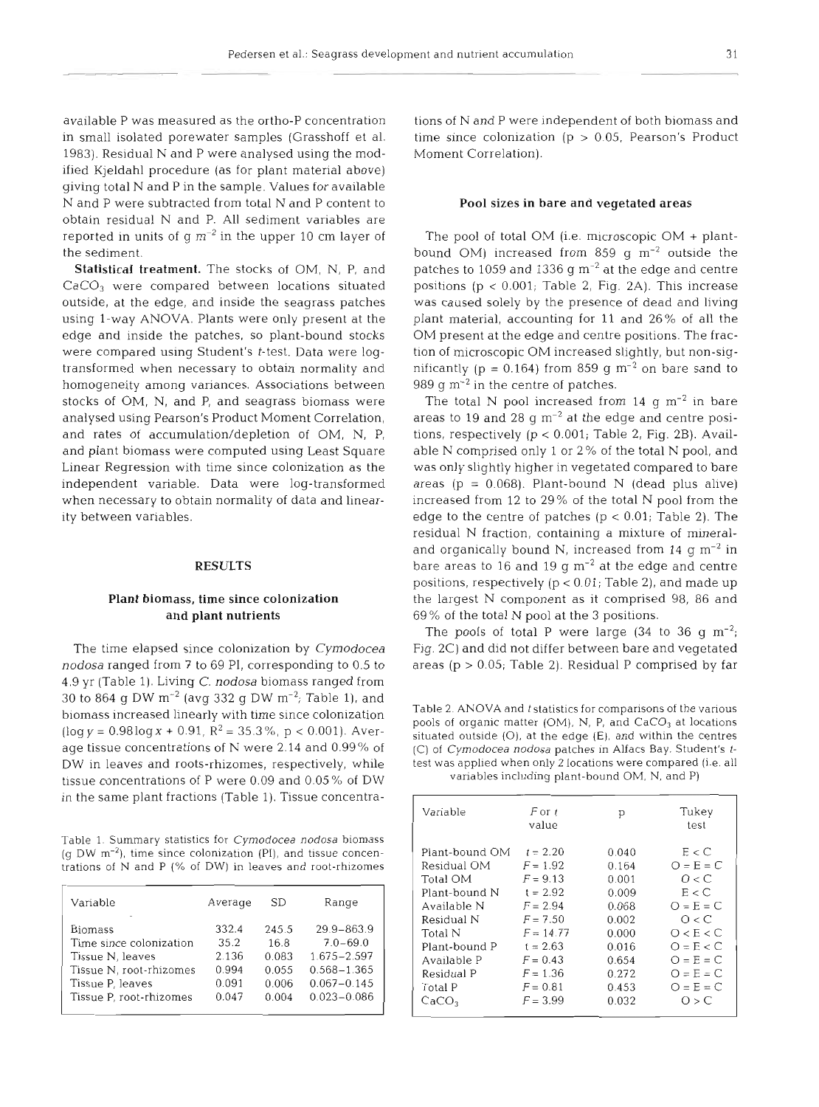available P was measured as the ortho-P concentration in small isolated porewater samples (Grasshoff et al. 1983). Residual N and P were analysed using the modified Kjeldahl procedure (as for plant material above) giving total N and P in the sample. Values for available N and P were subtracted from total N and P content to obtain residual N and P. All sediment variables are reported in units of  $q m^{-2}$  in the upper 10 cm layer of the sediment.

Statistical treatment. The stocks of OM, N, P, and CaCO<sub>3</sub> were compared between locations situated outside, at the edge, and inside the seagrass patches using l-way ANOVA. Plants were only present at the edge and inside the patches, so plant-bound stocks were compared using Student's t-test. Data were logtransformed when necessary to obtain normality and homogeneity among variances. Associations between stocks of OM, N, and P, and seagrass biomass were analysed using Pearson's Product Moment Correlation, and rates of accumulation/depletion of OM, N, P, and plant biomass were computed using Least Square Linear Regression with time since colonization as the independent variable. Data were log-transformed when necessary to obtain normality of data and linearity between variables.

### **RESULTS**

## Plant biomass, time since colonization and plant nutrients

The time elapsed since colonization by Cymodocea *nodosa* ranged from **7** to 69 PI, corresponding to 0.5 to 4.9 yr (Table 1). Living C. *nodosa* biomass ranged from 30 to 864 g DW  $m^{-2}$  (avg 332 g DW  $m^{-2}$ ; Table 1), and biomass increased linearly with time since colonization  $(\log y = 0.98 \log x + 0.91, R^2 = 35.3\%, p < 0.001)$ . Average tissue concentrations of N were 2.14 and 0.99% of DW in leaves and roots-rhizomes, respectively, while tissue concentrations of P were  $0.09$  and  $0.05\%$  of DW in the same plant fractions (Table 1). Tissue concentra-

Table 1. Summary statistics for Cymodocea nodosa biomass  $(q$  DW  $m^{-2}$ ), time since colonization (PI), and tissue concentrations of N and P  $(\%$  of DW) in leaves and root-rhizomes

| Variable                | Average | SD.   | Range           |
|-------------------------|---------|-------|-----------------|
| <b>Biomass</b>          | 332.4   | 245.5 | $29.9 - 863.9$  |
| Time since colonization | 35.2    | 16.8  | $7.0 - 69.0$    |
| Tissue N, leaves        | 2.136   | 0.083 | $1.675 - 2.597$ |
| Tissue N, root-rhizomes | 0.994   | 0.055 | $0.568 - 1.365$ |
| Tissue P, leaves        | 0.091   | 0.006 | $0.067 - 0.145$ |
| Tissue P. root-rhizomes | 0.047   | 0.004 | $0.023 - 0.086$ |
|                         |         |       |                 |

tions of N and P were independent of both biomass and time since colonization ( $p > 0.05$ , Pearson's Product Moment Correlation).

#### Pool sizes **in** bare and vegetated areas

The pool of total OM (i.e. microscopic OM + plantbound OM) increased from 859 g  $m^{-2}$  outside the patches to 1059 and 1336  $q m^{-2}$  at the edge and centre positions  $(p < 0.001$ ; Table 2, Fig. 2A). This increase was caused solely by the presence of dead and living plant material, accounting for 11 and 26% of all the OM present at the edge and centre positions. The fraction of microscopic OM increased slightly, but non-significantly ( $p = 0.164$ ) from 859 g m<sup>-2</sup> on bare sand to 989  $q$  m<sup>-2</sup> in the centre of patches.

The total N pool increased from 14  $g m<sup>-2</sup>$  in bare areas to 19 and 28  $g$  m<sup>-2</sup> at the edge and centre positions, respectively  $(p < 0.001$ ; Table 2, Fig. 2B). Available N comprised only 1 or 2 % of the total N pool, and was only slightly higher in vegetated compared to bare areas ( $p = 0.068$ ). Plant-bound N (dead plus alive) increased from 12 to 29% of the total N pool from the edge to the centre of patches ( $p < 0.01$ ; Table 2). The residual N fraction, containing a mixture of mineraland organically bound N, increased from  $14 \text{ g m}^{-2}$  in bare areas to 16 and 19  $g$  m<sup>-2</sup> at the edge and centre positions, respectively (p < 0.01; Table 2), and made up the largest N component as it comprised 98, 86 and 69 % of the total N pool at the 3 positions.

The pools of total P were large  $(34 \text{ to } 36 \text{ g } \text{m}^{-2})$ Fig. 2C) and did not differ between bare and vegetated areas ( $p > 0.05$ ; Table 2). Residual P comprised by far

Table 2. ANOVA and *t* statistics for comparisons of the various pools of organic matter (OM), N, P, and CaCO<sub>3</sub> at locations situated outside  $(O)$ , at the edge  $(E)$ , and within the centres (C) of Cymodocea nodosa patches in Alfacs Bay. Student's ttest was applied when only 2 locations were compared (i.e. all variables including plant-bound OM, N, and P)

| Variable                                                                                                                                                    | F or t<br>value                                                                                                                                         | р                                                                                               | Tukey<br>test                                                                                                                                       |
|-------------------------------------------------------------------------------------------------------------------------------------------------------------|---------------------------------------------------------------------------------------------------------------------------------------------------------|-------------------------------------------------------------------------------------------------|-----------------------------------------------------------------------------------------------------------------------------------------------------|
| Plant-bound OM<br>Residual OM<br>Total OM<br>Plant-bound N<br>Available N<br>Residual N<br>Total N<br>Plant-bound P<br>Available P<br>Residual P<br>Total P | $t = 2.20$<br>$F = 1.92$<br>$F = 9.13$<br>$t = 2.92$<br>$F = 2.94$<br>$F = 7.50$<br>$F = 14.77$<br>$t = 2.63$<br>$F = 0.43$<br>$F = 1.36$<br>$F = 0.81$ | 0.040<br>0.164<br>0.001<br>0.009<br>0.068<br>0.002<br>0.000<br>0.016<br>0.654<br>0.272<br>0.453 | E < C<br>$O = E = C$<br>$\bigcap$ $\lt C$<br>E < C<br>$O = E = C$<br>O < C<br>O < E < C<br>$Q = E < C$<br>$O = E = C$<br>$O = E = C$<br>$O = E = C$ |
| CaCO <sub>3</sub>                                                                                                                                           | $F = 3.99$                                                                                                                                              | 0.032                                                                                           | O > C                                                                                                                                               |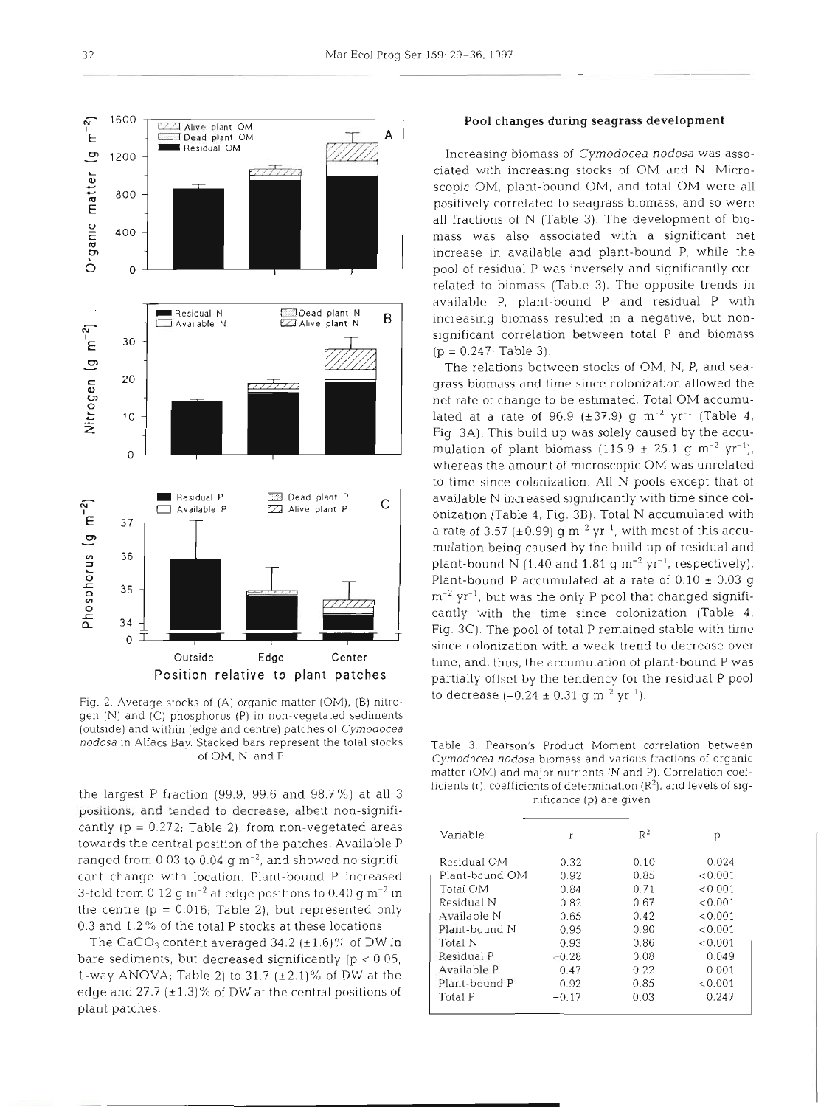

Fig. 2. Average stocks of (A) organic matter (OM), (B) nitrogen (N) and (C) phosphorus (P) In non-veqetated sediments (outside) and within (edge and centre) patches of Cymodocea nodosa in Alfacs Bay. Stacked bars represent the total stocks of OM, N, and P

the largest P fraction (99.9, 99.6 and 98.7%) at all 3 positions, and tended to decrease, albeit non-significantly  $(p = 0.272;$  Table 2), from non-vegetated areas towards the central position of the patches. Available P ranged from  $0.03$  to  $0.04$  g m<sup>-2</sup>, and showed no significant change with location. Plant-bound P increased 3-fold from 0.12 g  $\text{m}^{-2}$  at edge positions to 0.40 g  $\text{m}^{-2}$  in the centre  $(p = 0.016$ ; Table 2), but represented only 0.3 and 1.2 % of the total P stocks at these locations.

The CaCO<sub>3</sub> content averaged 34.2 ( $\pm$ 1.6)% of DW in bare sediments, but decreased significantly ( $p < 0.05$ , 1-way ANOVA; Table 2) to 31.7  $(\pm 2.1)\%$  of DW at the edge and 27.7  $(\pm 1.3)$ % of DW at the central positions of plant patches.

#### Pool changes during seagrass development

Increasing biomass of *Cymodocea nodosa* was associated with increasing stocks of OM and N. Microscopic OM, plant-bound OM, and total OM were all positively correlated to seagrass biomass, and so were all fractions of N (Table 3). The development of biomass was also associated with a significant net increase in available and plant-bound P, while the pool of residual P was inversely and significantly correlated to biomass (Table 3). The opposite trends in available P, plant-bound P and residual P with increasing biomass resulted in a negative, but nonsignificant correlation between total P and biomass  $(p = 0.247;$  Table 3).

The relations between stocks of OM, N, P, and seagrass biomass and time since colonization allowed the net rate of change to be estimated. Total OM accumulated at a rate of 96.9 ( $\pm$ 37.9) g m<sup>-2</sup> yr<sup>-1</sup> (Table 4, Fig 3A). This build up was solely caused by the accumulation of plant biomass (115.9  $\pm$  25.1 g m<sup>-2</sup> yr<sup>-1</sup>), whereas the amount of microscopic OM was unrelated to time since colonization. All N pools except that of available N increased significantly with time since colonization (Table 4, Fig. 3B). Total N accumulated with a rate of 3.57 ( $\pm$ 0.99) g m<sup>-2</sup> yr<sup>-1</sup>, with most of this accumulation being caused by the build up of residual and plant-bound N (1.40 and 1.81 g  $\text{m}^{-2}$  yr<sup>-1</sup>, respectively). Plant-bound P accumulated at a rate of  $0.10 \pm 0.03$  g  $\rm m^{-2}$  yr<sup>-1</sup>, but was the only P pool that changed significantly with the time since colonization (Table 4, Fig. 3C). The pool of total P remained stable with time since colonization with a weak trend to decrease over time, and, thus, the accumulation of plant-bound P was partially offset by the tendency for the residual P pool to decrease  $(-0.24 \pm 0.31 \text{ g m}^{-2} \text{ yr}^{-1})$ .

Table 3. Pearson's Product Moment correlation between Cymodocea nodosa biomass and various fractions of organic matter (OM) and major nutrients (N and P). Correlation coefficients (r), coefficients of determination  $(R^2)$ , and levels of significance (p) are given

| Variable       | r       | $R^2$ | р       |
|----------------|---------|-------|---------|
| Residual OM    | 0.32    | 0.10  | 0.024   |
| Plant-bound OM | 0.92    | 0.85  | < 0.001 |
| Total OM       | 0.84    | 0.71  | < 0.001 |
| Residual N     | 0.82    | 0.67  | < 0.001 |
| A Vülable N    | 0.65    | 0.42  | < 0.001 |
| Plant-bound N  | 0.95    | 0.90  | < 0.001 |
| Total N        | 0.93    | 0.86  | < 0.001 |
| Residual P     | $-0.28$ | 0.08  | 0.049   |
| Available P    | 0.47    | 0.22  | 0.001   |
| Plant-bonnd P  | 0.92    | 0.85  | < 0.001 |
| Total P        | $-0.17$ | 0.03  | 0.247   |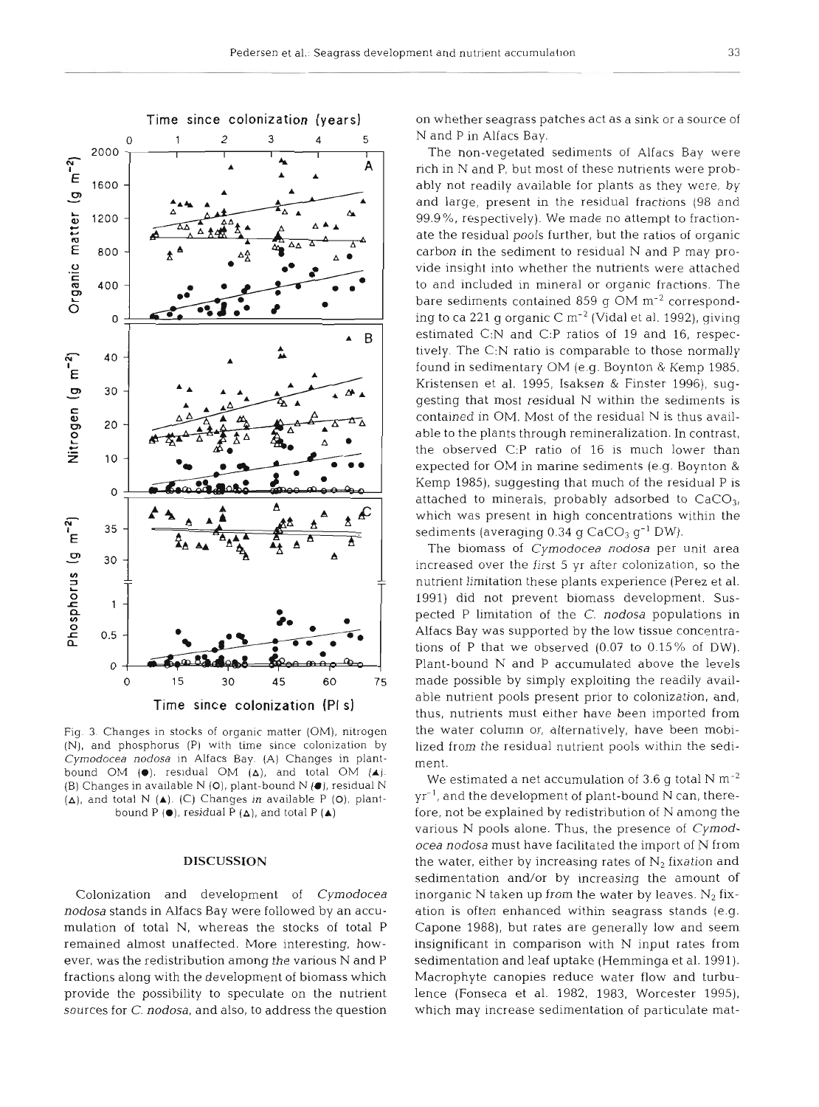

Fig. **3.** Changes in stocks of organic matter (OM), nitrogen (N), and phosphorus (P) with time since colonization by Cymodocea nodosa in Alfacs Bay. (A) Changes in plantbound OM (@). residual OM **(A),** and total **OM (A).**  (B) Changes in available N (O), plant-bound N (●), residual N (A), and total N **(A).** (C) Changes **in** available P **(O),** plantbound P  $(\bullet)$ , residual P  $(\triangle)$ , and total P  $(\triangle)$ 

#### **DISCUSSION**

Colonization and development of Cymodocea nodosa stands in Alfacs Bay were followed by an accumulation of total N, whereas the stocks of total P remained almost unaffected. More interesting, however, was the redistribution among the various N and P fractions along with the development of biomass which provide the possibility to speculate on the nutrient sources for C. nodosa, and also, to address the question on whether seagrass patches act as a sink or a source of N and P in Alfacs Bay.

The non-vegetated sediments of Alfacs Bay were rich in N and P, but most of these nutrients were probably not readily available for plants as they were, by and large, present in the residual fractions (98 and 99.9%, respectively). We made no attempt to fractionate the residual pools further, but the ratios of organic carbon in the sediment to residual N and P may provide insight into whether the nutrients were attached to and included in mineral or organic fractions. The bare sediments contained 859 g  $OM \, \text{m}^{-2}$  corresponding to ca 221 g organic  $C m^{-2}$  (Vidal et al. 1992), giving estimated C:N and C:P ratios of 19 and 16, respectively. The C:N ratio is comparable to those normally found in sedimentary OM (e.g. Boynton & Kemp 1985, Kristensen et al. 1995, Isaksen & Finster 1996), suggesting that most residual N within the sedlments is contained in OM. Most of the residual N is thus available to the plants through remineralization. In contrast, the observed C:P ratio of 16 is much lower than expected for OM in marine sediments (e.g. Boynton & Kemp 1985), suggesting that much of the residual P is attached to minerals, probably adsorbed to  $CaCO<sub>3</sub>$ , which was present in high concentrations within the sediments (averaging  $0.34$  g  $CaCO<sub>3</sub>$  g<sup>-1</sup> DW).

The biomass of Cymodocea nodosa per unit area increased over the first 5 yr after colonization, so the nutrient limitation these plants experience (Perez et al. 1991) did not prevent biomass development. Suspected P limitation of the C. nodosa populations in Alfacs Bay was supported by the low tissue concentrations of P that we observed  $(0.07 \text{ to } 0.15\% \text{ of DW})$ . Plant-bound N and P accumulated above the levels made possible by simply exploiting the readily available nutrient pools present prior to colonization, and, thus, nutrients must either have been imported from the water column or, alternatively, have been mobilized from the residual nutrient pools within the sediment.

We estimated a net accumulation of 3.6 g total N  $\mathrm{m}^{-2}$  $yr^{-1}$ , and the development of plant-bound N can, therefore, not be explained by redistribution of N among the various N pools alone. Thus, the presence of Cymodocea nodosa must have facilitated the import of N from the water, either by increasing rates of  $N_2$  fixation and sedimentation and/or by increasing the amount of inorganic  $N$  taken up from the water by leaves.  $N_2$  fixation is often enhanced within seagrass stands (e.g. Capone 1988), but rates are generally low and seem insignificant in comparison with N input rates from sedimentation and leaf uptake (Hemminga et al. 1991). Macrophyte canopies reduce water flow and turbulence (Fonseca et al. 1982, 1983, Worcester 1995), which may increase sedimentation of particulate mat-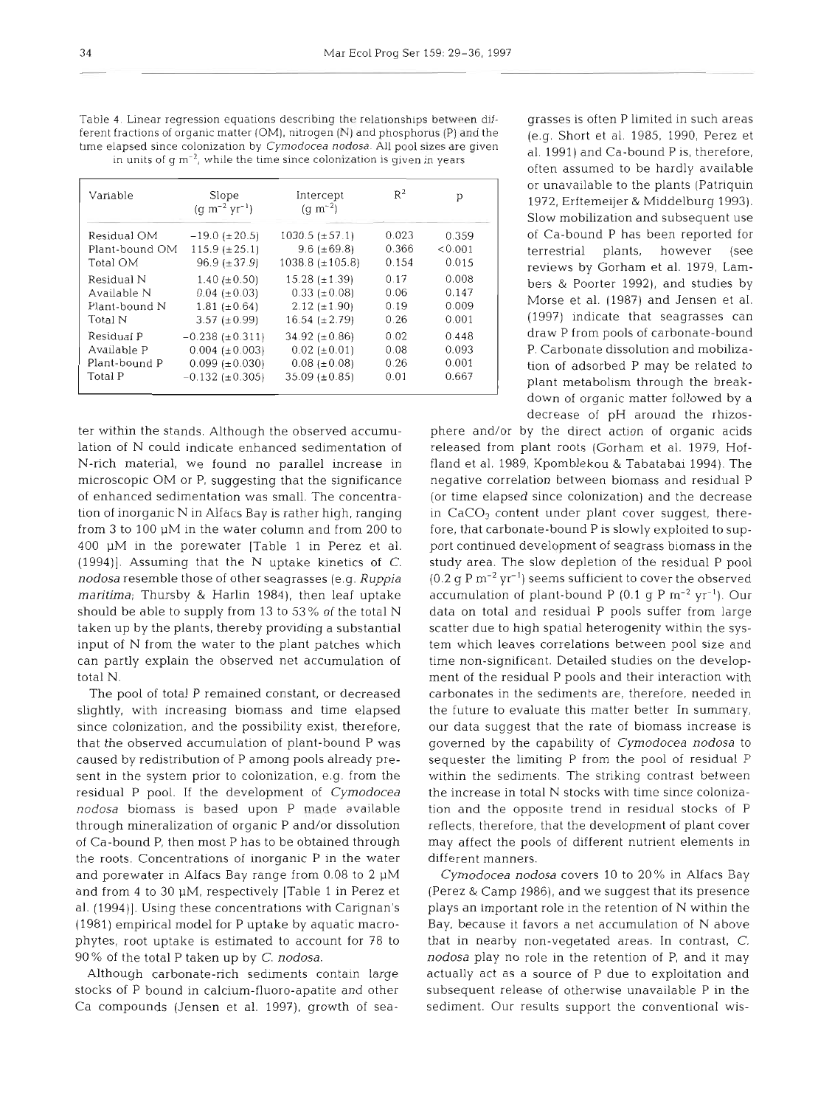| Table 4. Ellical regression equations acsortionly the relationships between un-         |
|-----------------------------------------------------------------------------------------|
| ferent fractions of organic matter $(OM)$ , nitrogen $(N)$ and phosphorus $(P)$ and the |
| time elapsed since colonization by Cymodocea nodosa. All pool sizes are given           |
| in units of $q m^{-2}$ , while the time since colonization is given in years            |
|                                                                                         |

| Variable       | Slope<br>$(q m^{-2} yr^{-1})$ | Intercept<br>(q m <sup>-2</sup> ) | $R^2$ | р       |
|----------------|-------------------------------|-----------------------------------|-------|---------|
| Residual OM    | $-19.0$ ( $\pm 20.5$ )        | $1030.5~(\pm 57.1)$               | 0.023 | 0.359   |
| Plant-bound OM | $115.9 \ (\pm 25.1)$          | $9.6 (\pm 69.8)$                  | 0.366 | < 0.001 |
| Total OM       | $96.9 (\pm 37.9)$             | $1038.8 (\pm 105.8)$              | 0.154 | 0.015   |
| Residual N     | 1.40 ( $\pm$ 0.50)            | $15.28 (\pm 1.39)$                | 0.17  | 0.008   |
| Available N    | $0.04~(\pm 0.03)$             | $0.33~(\pm 0.08)$                 | 0.06  | 0.147   |
| Plant-bound N  | $1.81 (\pm 0.64)$             | $2.12 \ (\pm 1.90)$               | 0.19  | 0.009   |
| Total N        | $3.57 \ (\pm 0.99)$           | $16.54~(\pm 2.79)$                | 0.26  | 0.001   |
| Residual P     | $-0.238 \ (\pm 0.311)$        | 34.92 ( $\pm$ 0.86)               | 0.02  | 0.448   |
| Available P    | $0.004~(\pm 0.003)$           | $0.02~(\pm 0.01)$                 | 0.08  | 0.093   |
| Plant-bound P  | $0.099$ ( $\pm$ 0.030)        | $0.08$ ( $\pm$ 0.08)              | 0.26  | 0.001   |
| Total P        | $-0.132$ ( $\pm$ 0.305)       | $35.09 (\pm 0.85)$                | 0.01  | 0.667   |

ter within the stands. Although the observed accumulation of N could indicate enhanced sedimentation of N-rich material, we found no parallel increase in microscopic OM or P, suggesting that the significance of enhanced sedimentation was small. The concentration of inorganic N in Alfacs Bay is rather high, ranging from 3 to 100 pM in the water column and from 200 to 400  $\mu$ M in the porewater [Table 1 in Perez et al.  $(1994)$ ]. Assuming that the N uptake kinetics of C. *nodosa* resemble those of other seagrasses (e.g. Ruppia *maritima;* Thursby & Harlin 1984), then leaf uptake should be able to supply from 13 to 53 % of the total N taken up by the plants, thereby providing a substantial input of N from the water to the plant patches which can partly explain the observed net accumulation of total N.

The pool of total P remained constant, or decreased slightly, with increasing biomass and time elapsed since colonization, and the possibility exist, therefore, that the observed accumulation of plant-bound P was caused by redistribution of P among pools already present in the system prior to colonization, e.g. from the residual P pool. If the development of *Cymodocea nodosa* biomass is based upon P made available through mineralization of organic P and/or dissolution of Ca-bound P, then most P has to be obtained through the roots. Concentrations of inorganic P in the water and porewater in Alfacs Bay range from 0.08 to 2 pM and from 4 to 30 pM, respectively [Table 1 in Perez et al. (1994)]. Using these concentrations with Carignan's (1981) empirical model for P uptake by aquatic macrophytes, root uptake is estimated to account for 78 to 90% of the total P taken up by *C. nodosa.* 

Although carbonate-rich sediments contain large stocks of P bound in calcium-fluoro-apatite and other Ca compounds (Jensen et al. 199?), growth of sea-

describing the relationships between dif- grasses is often P limited in such areas (e.g. Short et al. 1985, 1990, Perez et al. 1991) and Ca-bound P is, therefore, often assumed to be hardly available or unavailable to the plants (Patriquin 1972, Erftemeijer & Middelburg 1993). Slow mobilization and subsequent use of Ca-bound P has been reported for terrestrial plants, however (see reviews by Gorham et al. 1979, Lambers & Poorter 1992), and studies by Morse et al. (1987) and Jensen et al. (1997) indicate that seagrasses can draw P from pools of carbonate-bound P. Carbonate dissolution and mobilization of adsorbed P may be related to plant metabolism through the breakdown of organic matter followed by a decrease of pH around the rhizos-

> phere and/or by the direct action of organic acids released from plant roots (Gorham et al. 1979, Hoffland et al. 1989, Kpomblekou & Tabatabai 1994). The negative correlation between biomass and residual P (or time elapsed since colonization) and the decrease in CaCO<sub>3</sub> content under plant cover suggest, therefore, that carbonate-bound P is slowly exploited to support continued development of seagrass biomass in the study area. The slow depletion of the residual P pool (0.2 g P  $\text{m}^{-2}$  yr<sup>-1</sup>) seems sufficient to cover the observed accumulation of plant-bound P (0.1 g P **m-2** yr-l). Our data on total and residual P pools suffer from large scatter due to high spatial heterogenity within the system which leaves correlations between pool size and time non-significant. Detailed studies on the development of the residual P pools and their interaction with carbonates in the sediments are, therefore, needed in the future to evaluate this matter better In summary, our data suggest that the rate of biomass increase is governed by the capability of *Cymodocea nodosa* to sequester the limiting P from the pool of residual P within the sediments. The striking contrast between the increase in total N stocks with time since colonization and the opposite trend in residual stocks of P reflects, therefore, that the development of plant cover may affect the pools of different nutrient elements in different manners.

> *Cymodocea nodosa* covers 10 to 20% in Alfacs Bay (Perez & Camp 1986), and we suggest that its presence plays an important role in the retention of N within the Bay, because it favors a net accumulation of N above that in nearby non-vegetated areas. In contrast, C. *nodosa* play no role in the retention of P, and it may actually act as a source of P due to exploitation and subsequent release of otherwise unavailable P in the sediment. Our results support the conventional wis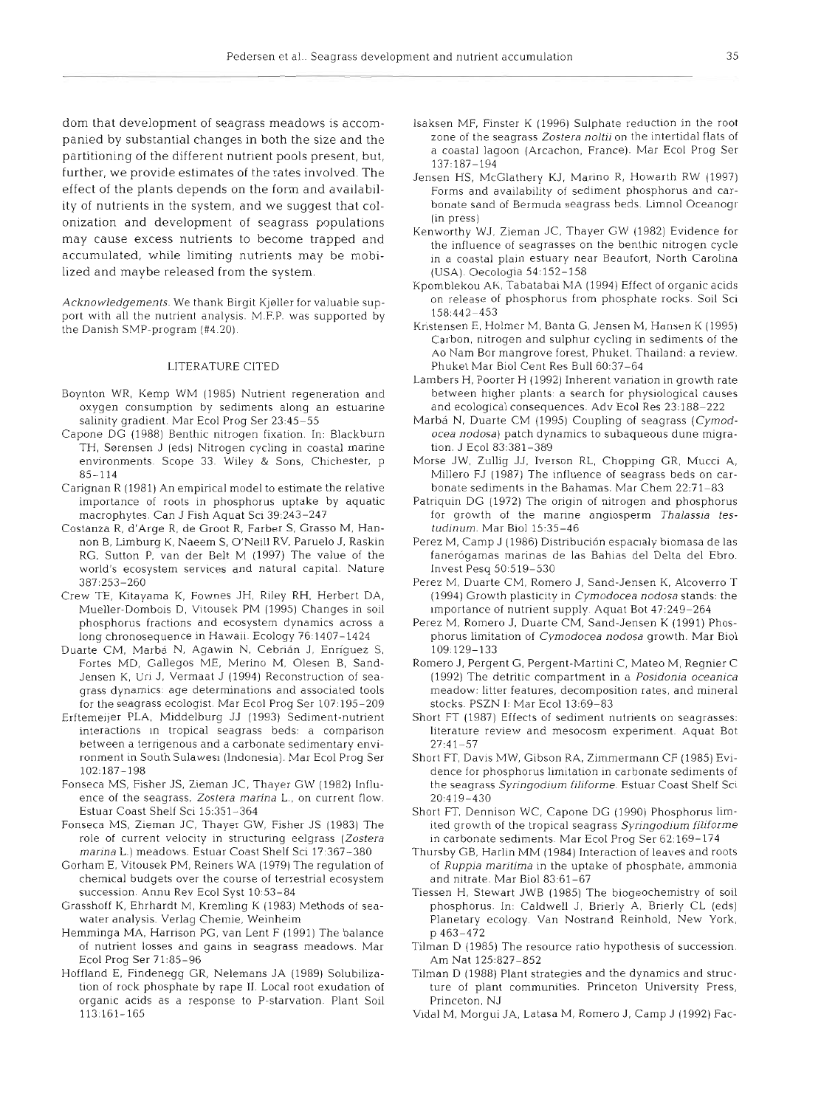dom that development of seagrass meadows is accompanied by substantial changes in both the size and the partitioning of the different nutrient pools present, but, further, we provide estimates of the rates involved. The effect of the plants depends on the form and availability of nutrients in the system, and we suggest that colonization and development of seagrass populations may cause excess nutrients to become trapped and accumulated, while limiting nutrients may be mobilized and maybe released from the system.

Acknowledgements. We thank Birgit Kjeller for valuable support with all the nutrient analysis. M.F.P. was supported by the Danish SMP-program (#4.20)

#### LITERATURE ClTED

- Boynton WR, Kemp WM (1985) Nutrient regeneration and oxygen consumption by sediments along an estuarine salinity gradient. Mar Ecol Prog Ser 23:45-55
- Capone DG (1988) Benthic nitrogen fixation. In: Blackburn TH, Sørensen J (eds) Nitrogen cycling in coastal marine environments. Scope 33. Wiley & Sons, Chichester, p 85-114
- Carignan R (1981) An empirical model to estimate the relative importance of roots in phosphorus uptake by aquatic macrophytes. Can J Fish Aquat Sci 39:243-247
- Costanza R, d'Arge R, de Groot R, Farber S, Grasso M, Hannon B. Limburg K, Naeem S. O'Neill RV, Paruelo J, Raskin RG, Sutton P, van der Belt M (1997) The value of the world's ecosystem services and natural capital. Nature 387:253-260
- Crew TE, Kitayama K, Fownes JH, Riley RH, Herbert DA, Mueller-Dombois D. Vitousek PM (1995) Changes in soil phosphorus fractions and ecosystem dynamics across a long chronosequence in Hawaii. Ecology 76:1407-1424
- Duarte CM, Marbá N, Agawin N, Cebrián J, Enríquez S, Fortes MD, Gallegos ME, Merino M. Olesen B, Sand-Jensen K, Uri J, Vermaat J (1994) Reconstruction of seagrass dynamics: age determlnations and associated tools for the seagrass ecologist. Mar Ecol Prog Ser 107:195-209
- Erftemeijer PLA, Middelburg JJ (1993) Sediment-nutrient interactions in tropical seagrass beds: a comparison between a terrigenous and a carbonate sedimentary environment in South Sulawes: (Indonesia). Mar Ecol Prog Ser 102:187-198
- Fonseca MS, Fisher JS, Zieman JC, Thayer GM' (1982) Influence of the seagrass, Zostera marina L., on current flow. Estuar Coast Shelf Sci 15:351-364
- Fonseca MS, Zieman JC, Thayer GW, Fisher JS (1983) The role of current velocity in structuring eelgrass (Zostera marina L.) meadows. Estuar Coast Shelf Sci 17:367-380
- Gorham E, Vitousek PM, Reiners WA (1979) The regulation of chemical budgets over the course of terrestrial ecosystem succession. Annu Rev Ecol Syst 10:53-84
- Grasshoff K, Ehrhardt M. Kremling K (1983) Methods of seawater analysis. Verlag Chemie. Weinheim
- Hemminga MA, Harrison PG, van Lent F (1991) The balance of nutrient losses and gains in seagrass meadows. Mar Ecol Prog Ser 71:85-96
- Hoffland E, Findenegg GR, Nelemans JA (1989) Solubilization of rock phosphate by rape 11. Local root exudation of organic acids as a response to P-starvation. Plant Soil 113:161-165
- lsaksen MP, Finster K (1996) Sulphate reduction in the root zone of the seagrass Zostera noltii on the intertidal flats of a coastal lagoon (Arcachon. France). Mar Ecol Prog Ser 137:187-194
- Jensen HS, McGlathery KJ. Marino R, Howarth RW (1997) Forms and availability of sediment phosphorus and carbonate sand of Bermuda seagrass beds. Limnol Oceanogr (in press)
- Kenworthy \VJ, Zieman JC. Thayer GW (1982) Evidence for the influence of seagrasses on the benthic nitrogen cycle in a coastal plain estuary near Beaufort, North Carolina (USA). Oecologia 54: 152-158
- Kpomblekou AK, Tabatabai MA (1994) Effect of organic acids on release of phosphorus from phosphate rocks. Soil Sci 158:442-453
- Kristensen E, Holmer M, Banta G, Jensen M, Hansen K (1995) | Carbon, nitrogen and sulphur cycling in sediments of the Ao Nam Bor mangrove forest, Phuket, Thailand: a review. Phuket Mar Biol Cent Res Bull 60:37-64
- Lambers H, Poorter H (1992) Inherent variation in growth rate between higher plants. a search for physiological causes and ecological consequences. Adv Ecol Res 23:188-222
- Marbá N, Duarte CM (1995) Coupling of seagrass (Cymodocea nodosa) patch dynamics to subaqueous dune migration. J Ecol 83:381-389
- Morse JW, Zullig JJ. Iverson RL, Chopping GR, Mucci A, Millero FJ (1987) The influence of seagrass beds on carbonate sediments in the Bahamas. Mar Chem  $22:71-8$
- Patriquin DG (1972) The origin of nitrogen and phosphorus for growth of the marine angiosperm Thalassia testudinum. Mar Biol 15:35-46
- Perez M, Camp J (1986) Distribución espacialy biomasa de las fanerógamas marinas de las Bahias del Delta del Ebro. Invest Pesq 50:519-530
- Perez M, Duarte CM. Romero J, Sand-Jensen K, Alcoverro T (1994) Growth plasticity in Cymodocea nodosa stands: the ~mportance of nutrient supply. Aquat Bot 47:249-264
- Perez M, Romero J. Duarte CM, Sand-Jensen K (1991) Phosphorus limitation of Cymodocea nodosa growth. Mar Biol 109:129-133
- Romero J, Pergent G, Pergent-Martini C, Mateo M, Regnier C (1992) The detritic compartment in a Posidonia oceanica meadow: litter features, decomposition rates, and mineral stocks PSZN 1. Mar Ecol 13:69-83
- Short FT (1987) Effects of sediment nutrients on seagrasses: literature review and mesocosm experiment. Aquat Bot 27:41-57
- Short FT, Davis MW, Gibson RA, Zlrnmermann CF (1985) Evidence for phosphorus limitation in carbonate sediments of the seagrass Syringodium filiforme. Estuar Coast Shelf Sci 20:419-430
- Short FT, Dennison WC, Capone DG (1990) Phosphorus limited growth of the tropical seagrass Syringodium filiforme in carbonate sediments. Mar Ecol Prog Ser 62:169-174
- Thursby GB, Harlin MM (1984) Interaction of leaves and roots of Ruppia maritima in the uptake of phosphate, ammonia and nitrate. Mar Biol 83:61-67
- Tiessen H, Stewart JWB (1985) The biogeochemistry of soil phosphorus. In: Caldwell J, Brierly A, Brierly CL (eds) Planetary ecology. Van Nostrand Reinhold, New York, p 463-472
- Tilman D (1985) The resource ratio hypothesis of succession. Am Nat 125:827-852
- Tilman D (1988) Plant strategies and the dynamics and structure of plant communities. Princeton University Press, Princeton, NJ
- Vidal M, Morgui JA, Latasa M, Romero J, Camp J (1992) Fac-